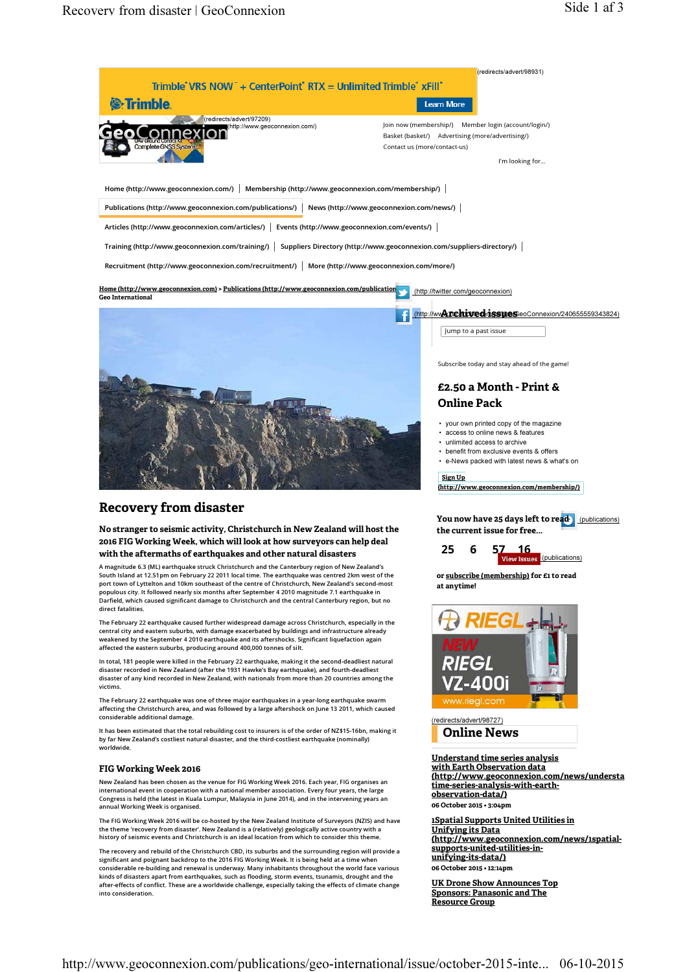



Subscribe today and stay ahead of the game!

## £2.50 a Month - Print & Online Pack

- your own printed copy of the magazine
- access to online news & features
- unlimited access to archive
- benefit from exclusive events & offers
- e-News packed with latest news & what's on

#### Sign Un

(http://www.geoconnexion.com/membership/)

# Recovery from disaster

No stranger to seismic activity, Christchurch in New Zealand will host the 2016 FIG Working Week, which will look at how surveyors can help deal with the aftermaths of earthquakes and other natural disasters

A magnitude 6.3 (ML) earthquake struck Christchurch and the Canterbury region of New Zealand's South Island at 12.51pm on February 22 2011 local time. The earthquake was centred 2km west of the port town of Lyttelton and 10km southeast of the centre of Christchurch, New Zealand's second-most populous city. It followed nearly six months after September 4 2010 magnitude 7.1 earthquake in Darfield, which caused significant damage to Christchurch and the central Canterbury region, but no direct fatalities.

The February 22 earthquake caused further widespread damage across Christchurch, especially in the central city and eastern suburbs, with damage exacerbated by buildings and infrastructure already weakened by the September 4 2010 earthquake and its aftershocks. Significant liquefaction again affected the eastern suburbs, producing around 400,000 tonnes of silt.

In total, 181 people were killed in the February 22 earthquake, making it the second-deadliest natural disaster recorded in New Zealand (after the 1931 Hawke's Bay earthquake), and fourth-deadliest disaster of any kind recorded in New Zealand, with nationals from more than 20 countries among the victims.

The February 22 earthquake was one of three major earthquakes in a year-long earthquake swarm affecting the Christchurch area, and was followed by a large aftershock on June 13 2011, which caused considerable additional damage.

It has been estimated that the total rebuilding cost to insurers is of the order of NZ\$15-16bn, making it by far New Zealand's costliest natural disaster, and the third-costliest earthquake (nominally) worldwide.

### FIG Working Week 2016

New Zealand has been chosen as the venue for FIG Working Week 2016. Each year, FIG organises an international event in cooperation with a national member association. Every four years, the large Congress is held (the latest in Kuala Lumpur, Malaysia in June 2014), and in the intervening years an annual Working Week is organised.

The FIG Working Week 2016 will be co-hosted by the New Zealand Institute of Surveyors (NZIS) and have the theme 'recovery from disaster'. New Zealand is a (relatively) geologically active country with a history of seismic events and Christchurch is an ideal location from which to consider this theme.

The recovery and rebuild of the Christchurch CBD, its suburbs and the surrounding region will provide a significant and poignant backdrop to the 2016 FIG Working Week. It is being held at a time when considerable re-building and renewal is underway. Many inhabitants throughout the world face various kinds of disasters apart from earthquakes, such as flooding, storm events, tsunamis, drought and the after-effects of conflict. These are a worldwide challenge, especially taking the effects of climate change after-effects of conflict. These are a worldwide challenge, especially taking the effects of climate change into consideration.

You now have 25 days left to read (publications) the current issue for free...

25 6 57 16



or subscribe (membership) for £1 to read at anytime!



(redirects/advert/98727) Online News

Understand time series analysis with Earth Observation data (http://www.geoconnexion.com/news/understa time-series-analysis-with-earthobservation-data/) 06 October 2015 • 3:04pm

1Spatial Supports United Utilities in Unifying its Data (http://www.geoconnexion.com/news/1spatialsupports-united-utilities-inunifying-its-data/) 06 October 2015 • 12:14pm

UK Drone Show Announces Top Sponsors: Panasonic and The Resource Group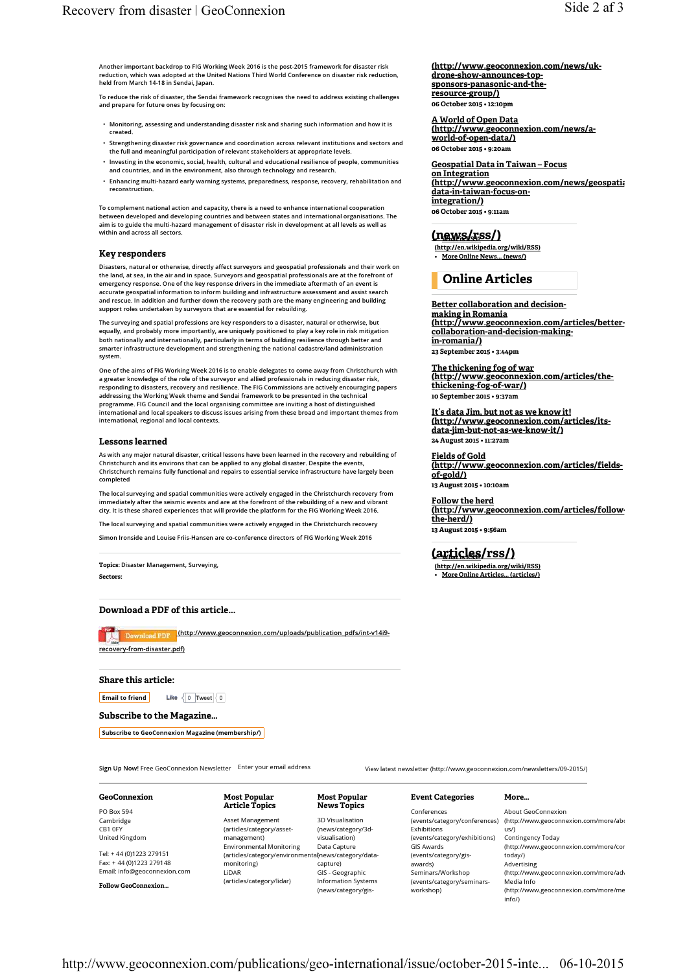Another important backdrop to FIG Working Week 2016 is the post-2015 framework for disaster risk reduction, which was adopted at the United Nations Third World Conference on disaster risk reduction, held from March 14-18 in Sendai, Japan.

To reduce the risk of disaster, the Sendai framework recognises the need to address existing challenges and prepare for future ones by focusing on:

- Monitoring, assessing and understanding disaster risk and sharing such information and how it is created.
- Strengthening disaster risk governance and coordination across relevant institutions and sectors and the full and meaningful participation of relevant stakeholders at appropriate levels.
- Investing in the economic, social, health, cultural and educational resilience of people, communities and countries, and in the environment, also through technology and research.
- Enhancing multi-hazard early warning systems, preparedness, response, recovery, rehabilitation and reconstruction.

To complement national action and capacity, there is a need to enhance international cooperation between developed and developing countries and between states and international organisations. The aim is to guide the multi-hazard management of disaster risk in development at all levels as well as within and across all sectors.

#### Key responders

Disasters, natural or otherwise, directly affect surveyors and geospatial professionals and their work on the land, at sea, in the air and in space. Surveyors and geospatial professionals are at the forefront of emergency response. One of the key response drivers in the immediate aftermath of an event is accurate geospatial information to inform building and infrastructure assessment and assist search and rescue. In addition and further down the recovery path are the many engineering and building support roles undertaken by surveyors that are essential for rebuilding.

The surveying and spatial professions are key responders to a disaster, natural or otherwise, but equally, and probably more importantly, are uniquely positioned to play a key role in risk mitigation<br>both nationally and internationally, particularly in terms of building resilience through better and smarter infrastructure development and strengthening the national cadastre/land administration system.

One of the aims of FIG Working Week 2016 is to enable delegates to come away from Christchurch with a greater knowledge of the role of the surveyor and allied professionals in reducing disaster risk, responding to disasters, recovery and resilience. The FIG Commissions are actively encouraging papers addressing the Working Week theme and Sendai framework to be presented in the technical programme. FIG Council and the local organising committee are inviting a host of distinguished international and local speakers to discuss issues arising from these broad and important themes from international, regional and local contexts.

#### Lessons learned

As with any major natural disaster, critical lessons have been learned in the recovery and rebuilding of Christchurch and its environs that can be applied to any global disaster. Despite the events, Christchurch remains fully functional and repairs to essential service infrastructure have largely been completed

The local surveying and spatial communities were actively engaged in the Christchurch recovery from immediately after the seismic events and are at the forefront of the rebuilding of a new and vibrant city. It is these shared experiences that will provide the platform for the FIG Working Week 2016.

The local surveying and spatial communities were actively engaged in the Christchurch recovery

Simon Ironside and Louise Friis-Hansen are co-conference directors of FIG Working Week 2016

Topics: Disaster Management, Surveying, Sectors:

## Download a PDF of this article...

Download PDF (http://www.geoconnexion.com/uploads/publication\_pdfs/int-v14i9recovery-from-disaster.pdf)

#### Share this article:

Email to friend  $\vert$  Like  $\vert$  0 Tweet  $\vert$  0

Subscribe to the Magazine…

Subscribe to GeoConnexion Magazine (membership/)

Sign Up Now! Free GeoConnexion Newsletter Enter your email address View latest newsletter (http://www.geoconnexion.com/newsletters/09-2015/)

#### PO Box 594 Cambridge CB1 0FY United Kingdom

GeoConnexion

Tel: + 44 (0)1223 279151 Fax: + 44 (0)1223 279148 Email: info@geoconnexion.com

Follow GeoConnexion…

#### Most Popular Article Topics

Asset Management (articles/category/assetmanagement) Environmental Monitoring (articles/category/environmenta(news/category/datamonitoring) LiDAR (articles/category/lidar)

Most Popular News Topics

3D Visualisation (news/category/3dvisualisation) Data Capture capture) GIS - Geographic Information Systems (news/category/gis(http://www.geoconnexion.com/news/ukdrone-show-announces-topsponsors-panasonic-and-theresource-group/) 06 October 2015 • 12:10pm

A World of Open Data (http://www.geoconnexion.com/news/aworld-of-open-data/) 06 October 2015 • 9:20am

Geospatial Data in Taiwan – Focus on Integration (http://www.geoconnexion.com/news/geospati:<br>data-in-taiwan-focus-onintegration/) 06 October 2015 • 9:11am

## $(news/rss)$

(http://en.wikipedia.org/wiki/RSS) • More Online News... (news/)

## Online Articles

## Better collaboration and decision-

making in Romania (http://www.geoconnexion.com/articles/bettercollaboration-and-decision-makingin-romania/) 23 September 2015 • 3:44pm

The thickening fog of war (http://www.geoconnexion.com/articles/thethickening-fog-of-war/) 10 September 2015 • 9:37am

It's data Jim, but not as we know it! (http://www.geoconnexion.com/articles/itsdata-jim-but-not-as-we-know-it/) 24 August 2015 • 11:27am

Fields of Gold (http://www.geoconnexion.com/articles/fieldsof-gold/)

13 August 2015 • 10:10am

Follow the herd (http://www.geoconnexion.com/articles/followthe-herd/) 13 August 2015 • 9:56am

## (articles/rss/)

(http://en.wikipedia.org/wiki/RSS) • More Online Articles... (articles/)

#### Event Categories More…

Conferences Exhibitions (events/category/exhibitions) GIS Awards (events/category/gisawards) Seminars/Workshop (events/category/seminarsworkshop)

(events/category/conferences) (http://www.geoconnexion.com/more/ab $\epsilon$ About GeoConnexion us/) Contingency Today (http://www.geoconnexion.com/more/cor today/) Advertising (http://www.geoconnexion.com/more/adv Media Info (http://www.geoconnexion.com/more/me info/)